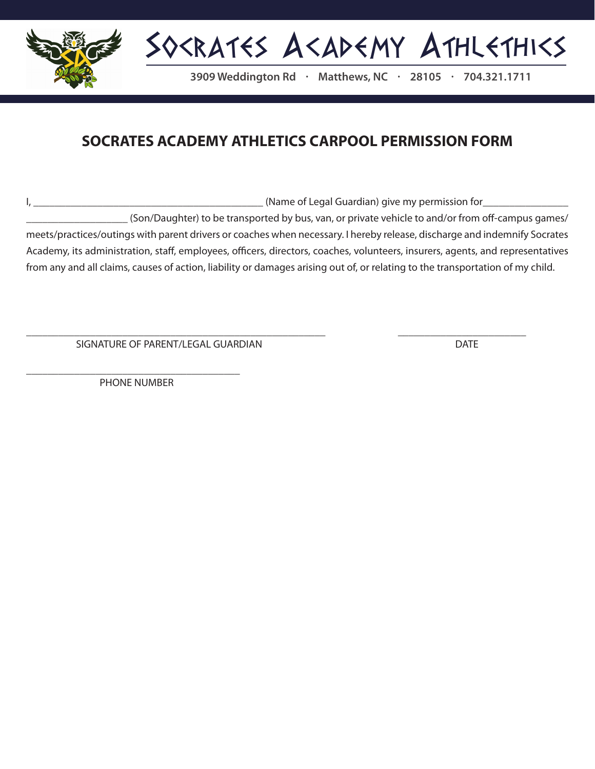

## **SOCRATES ACADEMY ATHLETICS CARPOOL PERMISSION FORM**

I, \_\_\_\_\_\_\_\_\_\_\_\_\_\_\_\_\_\_\_\_\_\_\_\_\_\_\_\_\_\_\_\_\_\_\_\_\_\_\_\_\_\_\_ (Name of Legal Guardian) give my permission for\_\_\_\_\_\_\_\_\_\_\_\_\_\_\_\_

\_\_\_\_\_\_\_\_\_\_\_\_\_\_\_\_\_\_\_ (Son/Daughter) to be transported by bus, van, or private vehicle to and/or from off-campus games/ meets/practices/outings with parent drivers or coaches when necessary. I hereby release, discharge and indemnify Socrates Academy, its administration, staff, employees, officers, directors, coaches, volunteers, insurers, agents, and representatives from any and all claims, causes of action, liability or damages arising out of, or relating to the transportation of my child.

\_\_\_\_\_\_\_\_\_\_\_\_\_\_\_\_\_\_\_\_\_\_\_\_\_\_\_\_\_\_\_\_\_\_\_\_\_\_\_\_\_\_\_\_\_\_\_\_\_\_\_\_\_\_\_\_ \_\_\_\_\_\_\_\_\_\_\_\_\_\_\_\_\_\_\_\_\_\_\_\_

SIGNATURE OF PARENT/LEGAL GUARDIAN DATE

\_\_\_\_\_\_\_\_\_\_\_\_\_\_\_\_\_\_\_\_\_\_\_\_\_\_\_\_\_\_\_\_\_\_\_\_\_\_\_\_ PHONE NUMBER